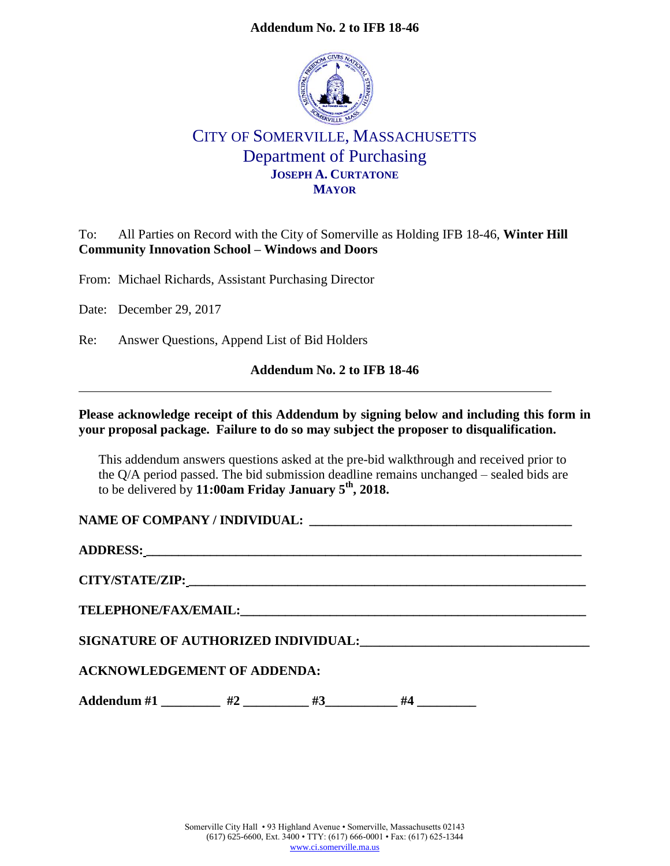## **Addendum No. 2 to IFB 18-46**



# CITY OF SOMERVILLE, MASSACHUSETTS Department of Purchasing **JOSEPH A. CURTATONE MAYOR**

To: All Parties on Record with the City of Somerville as Holding IFB 18-46, **Winter Hill Community Innovation School – Windows and Doors**

From: Michael Richards, Assistant Purchasing Director

Date: December 29, 2017

Re: Answer Questions, Append List of Bid Holders

#### **Addendum No. 2 to IFB 18-46**

#### **Please acknowledge receipt of this Addendum by signing below and including this form in your proposal package. Failure to do so may subject the proposer to disqualification.**

This addendum answers questions asked at the pre-bid walkthrough and received prior to the Q/A period passed. The bid submission deadline remains unchanged – sealed bids are to be delivered by **11:00am Friday January 5 th, 2018.**

NAME OF COMPANY / INDIVIDUAL:

**ADDRESS: \_\_\_\_\_\_\_\_\_\_\_\_\_\_\_\_\_\_\_\_\_\_\_\_\_\_\_\_\_\_\_\_\_\_\_\_\_\_\_\_\_\_\_\_\_\_\_\_\_\_\_\_\_\_\_\_\_\_\_\_\_\_\_\_\_\_\_\_**

**CITY/STATE/ZIP: \_\_\_\_\_\_\_\_\_\_\_\_\_\_\_\_\_\_\_\_\_\_\_\_\_\_\_\_\_\_\_\_\_\_\_\_\_\_\_\_\_\_\_\_\_\_\_\_\_\_\_\_\_\_\_\_\_\_\_\_\_\_**

**TELEPHONE/FAX/EMAIL:\_\_\_\_\_\_\_\_\_\_\_\_\_\_\_\_\_\_\_\_\_\_\_\_\_\_\_\_\_\_\_\_\_\_\_\_\_\_\_\_\_\_\_\_\_\_\_\_\_\_\_\_\_\_**

**SIGNATURE OF AUTHORIZED INDIVIDUAL:\_\_\_\_\_\_\_\_\_\_\_\_\_\_\_\_\_\_\_\_\_\_\_\_\_\_\_\_\_\_\_\_\_\_\_**

## **ACKNOWLEDGEMENT OF ADDENDA:**

Addendum #1 \_\_\_\_\_\_\_\_ #2 \_\_\_\_\_\_\_\_ #3 \_\_\_\_\_\_\_ #4 \_\_\_\_\_\_\_\_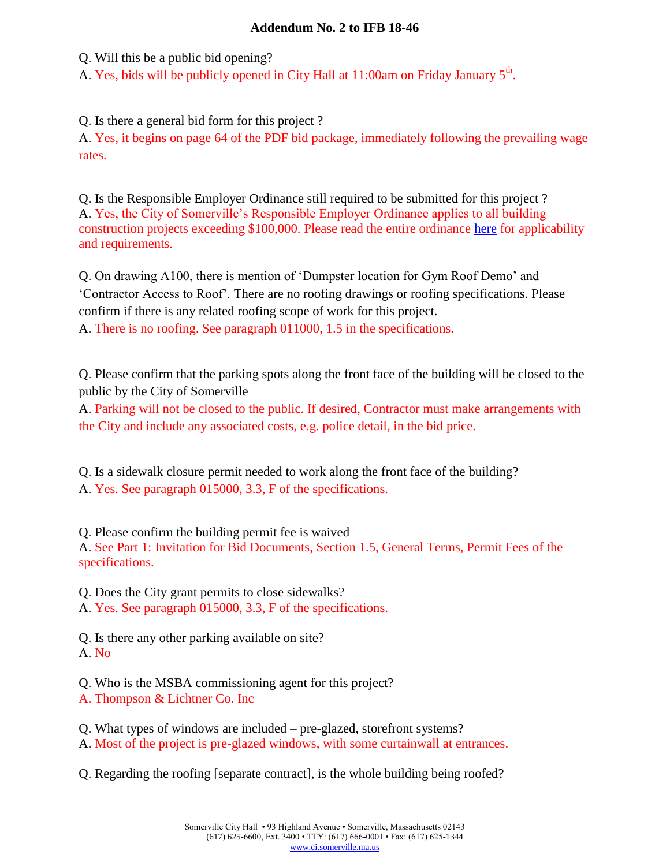## **Addendum No. 2 to IFB 18-46**

Q. Will this be a public bid opening?

A. Yes, bids will be publicly opened in City Hall at  $11:00$ am on Friday January  $5<sup>th</sup>$ .

Q. Is there a general bid form for this project ?

A. Yes, it begins on page 64 of the PDF bid package, immediately following the prevailing wage rates.

Q. Is the Responsible Employer Ordinance still required to be submitted for this project ? A. Yes, the City of Somerville's Responsible Employer Ordinance applies to all building construction projects exceeding \$100,000. Please read the entire ordinance [here](https://library.municode.com/ma/somerville/codes/code_of_ordinances?nodeId=PTIICOOR_CH2AD_ARTVIIIFI_DIV1GE_S2-355REEMOR) for applicability and requirements.

Q. On drawing A100, there is mention of 'Dumpster location for Gym Roof Demo' and 'Contractor Access to Roof'. There are no roofing drawings or roofing specifications. Please confirm if there is any related roofing scope of work for this project. A. There is no roofing. See paragraph 011000, 1.5 in the specifications.

Q. Please confirm that the parking spots along the front face of the building will be closed to the public by the City of Somerville

A. Parking will not be closed to the public. If desired, Contractor must make arrangements with the City and include any associated costs, e.g. police detail, in the bid price.

Q. Is a sidewalk closure permit needed to work along the front face of the building?

A. Yes. See paragraph 015000, 3.3, F of the specifications.

Q. Please confirm the building permit fee is waived

A. See Part 1: Invitation for Bid Documents, Section 1.5, General Terms, Permit Fees of the specifications.

Q. Does the City grant permits to close sidewalks?

A. Yes. See paragraph 015000, 3.3, F of the specifications.

Q. Is there any other parking available on site? A. No

Q. Who is the MSBA commissioning agent for this project?

A. Thompson & Lichtner Co. Inc

Q. What types of windows are included – pre-glazed, storefront systems? A. Most of the project is pre-glazed windows, with some curtainwall at entrances.

Q. Regarding the roofing [separate contract], is the whole building being roofed?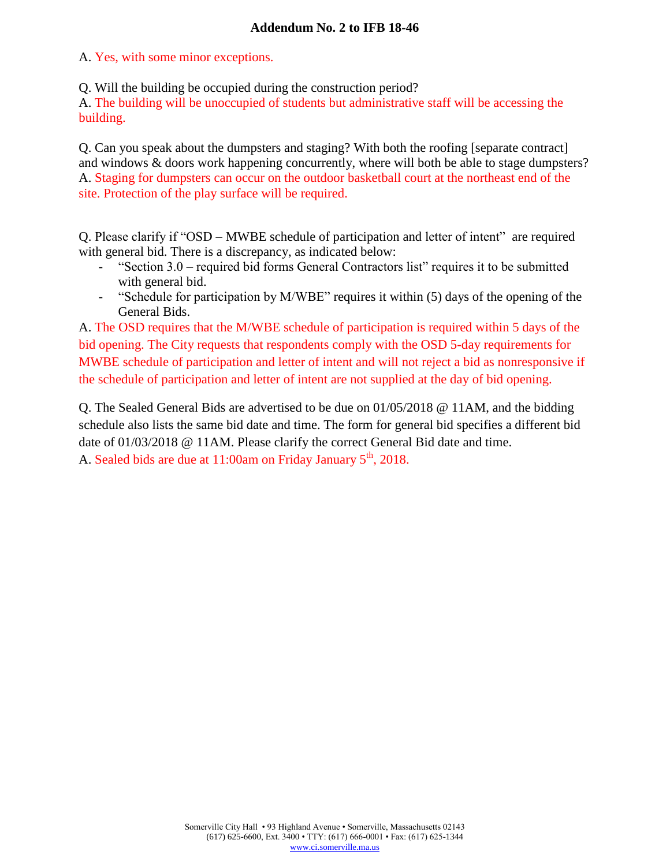## **Addendum No. 2 to IFB 18-46**

A. Yes, with some minor exceptions.

Q. Will the building be occupied during the construction period?

A. The building will be unoccupied of students but administrative staff will be accessing the building.

Q. Can you speak about the dumpsters and staging? With both the roofing [separate contract] and windows & doors work happening concurrently, where will both be able to stage dumpsters? A. Staging for dumpsters can occur on the outdoor basketball court at the northeast end of the site. Protection of the play surface will be required.

Q. Please clarify if "OSD – MWBE schedule of participation and letter of intent" are required with general bid. There is a discrepancy, as indicated below:

- "Section 3.0 required bid forms General Contractors list" requires it to be submitted with general bid.
- "Schedule for participation by M/WBE" requires it within (5) days of the opening of the General Bids.

A. The OSD requires that the M/WBE schedule of participation is required within 5 days of the bid opening. The City requests that respondents comply with the OSD 5-day requirements for MWBE schedule of participation and letter of intent and will not reject a bid as nonresponsive if the schedule of participation and letter of intent are not supplied at the day of bid opening.

Q. The Sealed General Bids are advertised to be due on 01/05/2018 @ 11AM, and the bidding schedule also lists the same bid date and time. The form for general bid specifies a different bid date of 01/03/2018 @ 11AM. Please clarify the correct General Bid date and time. A. Sealed bids are due at 11:00am on Friday January 5<sup>th</sup>, 2018.